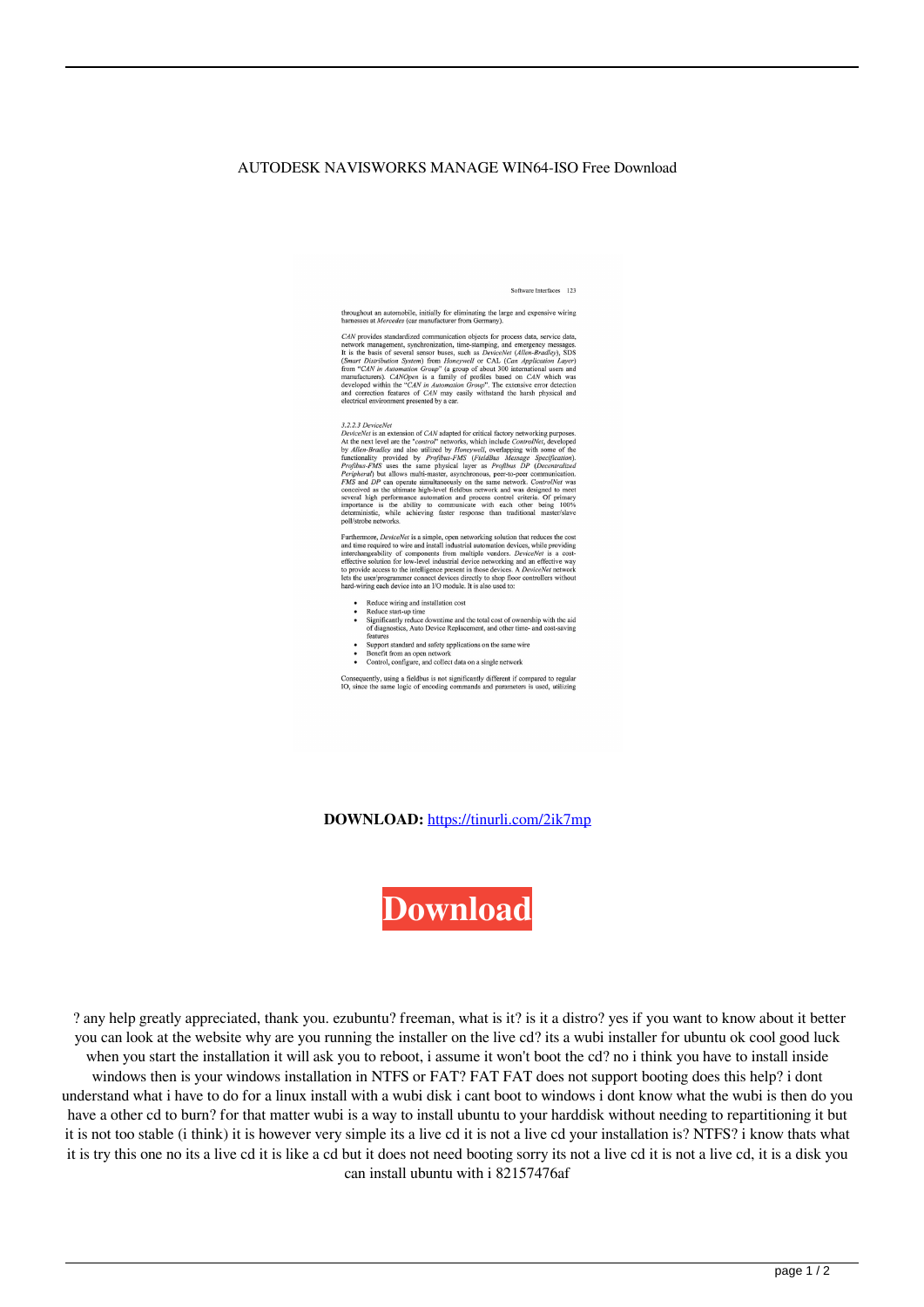## AUTODESK NAVISWORKS MANAGE WIN64-ISO Free Download

Software Interfaces 123

throughout an automobile, initially for eliminating the large and expensive wiring<br>harnesses at *Mercedes* (car manufacturer from Germany).

nations as *n metricus* (varianularization to primation constants).<br>
CAN provides standardized communication in ine-stamping, and emergency messages.<br>
It is the basis of several sensor buses, such as *Device/be(Allen-Br* 

3.2.2.3 DeviceNet

 $3.2.2.3\ DeriveNet$  is an extension of  $CAN$  adapted for critical factory networking purposes. At the next level are the "control" networks, which include ControlNet, developed by Allen-Bradley and also utilized by *Profibus-PMS* poll/strobe networks.

Furthermore, *DeviceNet* is a simple, open networking solution that reduces the cost and time required to wire and install industrial automation devices, while providing interchangeability of components from multiple vend to provide access to the intermediate present in this development of the user/programmer connect devices directly to shop floor controllers without hard-wiring each device into an I/O module. It is also used to:

- Reduce wiring and installation cost
- Reduce wiring and installation cost<br>• Reduce start-up time<br>• Significantly reduce downtime and the total cost of ownership with the aid<br>• of diagnostics, Auto Device Replacement, and other time- and cost-saving<br>features
	-
- features<br>
 Support standard and safety applications on the same wire<br>
 Benefit from an open network<br>
 Control, configure, and collect data on a single network
- 

Consequently, using a fieldbus is not significantly different if compared to regular IO, since the same logic of encoding commands and parameters is used, utilizing

**DOWNLOAD:** <https://tinurli.com/2ik7mp>



 ? any help greatly appreciated, thank you. ezubuntu? freeman, what is it? is it a distro? yes if you want to know about it better you can look at the website why are you running the installer on the live cd? its a wubi installer for ubuntu ok cool good luck when you start the installation it will ask you to reboot, i assume it won't boot the cd? no i think you have to install inside windows then is your windows installation in NTFS or FAT? FAT FAT does not support booting does this help? i dont understand what i have to do for a linux install with a wubi disk i cant boot to windows i dont know what the wubi is then do you have a other cd to burn? for that matter wubi is a way to install ubuntu to your harddisk without needing to repartitioning it but it is not too stable (i think) it is however very simple its a live cd it is not a live cd your installation is? NTFS? i know thats what it is try this one no its a live cd it is like a cd but it does not need booting sorry its not a live cd it is not a live cd, it is a disk you can install ubuntu with i 82157476af